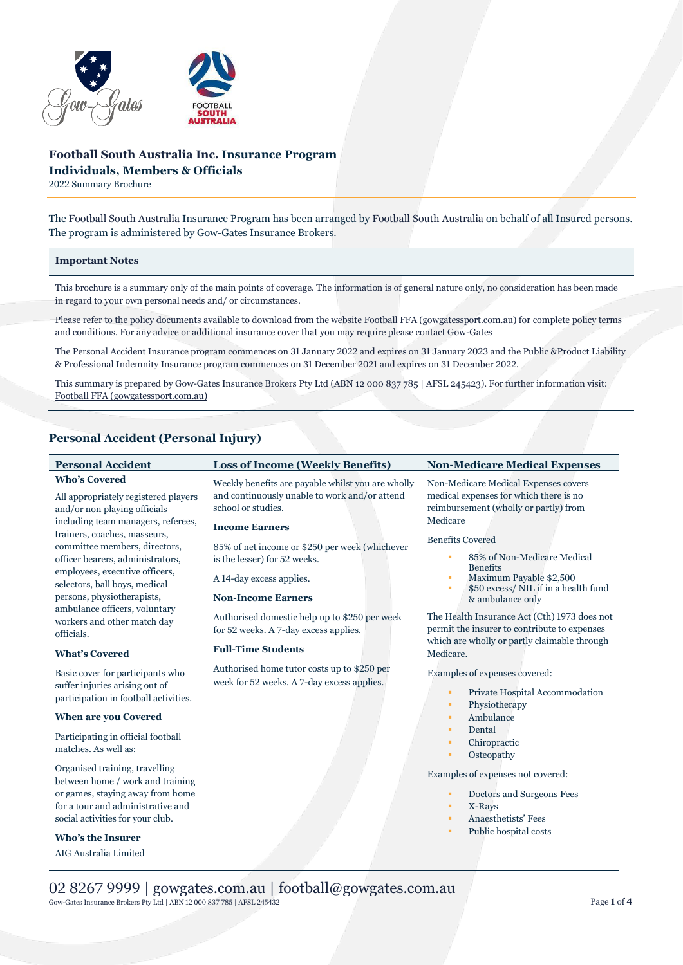

# **Football South Australia Inc. Insurance Program Individuals, Members & Officials**

2022 Summary Brochure

The Football South Australia Insurance Program has been arranged by Football South Australia on behalf of all Insured persons. The program is administered by Gow-Gates Insurance Brokers.

#### **Important Notes**

This brochure is a summary only of the main points of coverage. The information is of general nature only, no consideration has been made in regard to your own personal needs and/ or circumstances.

Please refer to the policy documents available to download from the websit[e Football FFA \(gowgatessport.com.au\)](https://football.gowgatessport.com.au/) for complete policy terms and conditions. For any advice or additional insurance cover that you may require please contact Gow-Gates

The Personal Accident Insurance program commences on 31 January 2022 and expires on 31 January 2023 and the Public &Product Liability & Professional Indemnity Insurance program commences on 31 December 2021 and expires on 31 December 2022.

This summary is prepared by Gow-Gates Insurance Brokers Pty Ltd (ABN 12 000 837 785 | AFSL 245423). For further information visit: [Football FFA \(gowgatessport.com.au\)](https://football.gowgatessport.com.au/)

## **Personal Accident (Personal Injury)**

| <b>Personal Accident</b>                                                   | <b>Loss of Income (Weekly Benefits)</b>                                                            | <b>Non-Medicare Medical Expenses</b>                                                                                                         |
|----------------------------------------------------------------------------|----------------------------------------------------------------------------------------------------|----------------------------------------------------------------------------------------------------------------------------------------------|
| <b>Who's Covered</b>                                                       | Weekly benefits are payable whilst you are wholly<br>and continuously unable to work and/or attend | Non-Medicare Medical Expenses covers<br>medical expenses for which there is no                                                               |
| All appropriately registered players<br>and/or non playing officials       | school or studies.                                                                                 | reimbursement (wholly or partly) from                                                                                                        |
| including team managers, referees,                                         |                                                                                                    | Medicare                                                                                                                                     |
| trainers, coaches, masseurs,                                               | <b>Income Earners</b>                                                                              |                                                                                                                                              |
| committee members, directors,                                              | 85% of net income or \$250 per week (whichever                                                     | <b>Benefits Covered</b>                                                                                                                      |
| officer bearers, administrators,                                           | is the lesser) for 52 weeks.                                                                       | 85% of Non-Medicare Medical                                                                                                                  |
| employees, executive officers,<br>selectors, ball boys, medical            | A 14-day excess applies.                                                                           | <b>Benefits</b><br>Maximum Payable \$2,500<br>\$50 excess/ NIL if in a health fund<br>٠                                                      |
| persons, physiotherapists,                                                 | <b>Non-Income Earners</b>                                                                          | & ambulance only                                                                                                                             |
| ambulance officers, voluntary<br>workers and other match day<br>officials. | Authorised domestic help up to \$250 per week<br>for 52 weeks. A 7-day excess applies.             | The Health Insurance Act (Cth) 1973 does not<br>permit the insurer to contribute to expenses<br>which are wholly or partly claimable through |
| <b>What's Covered</b>                                                      | <b>Full-Time Students</b>                                                                          | Medicare.                                                                                                                                    |
| Basic cover for participants who                                           | Authorised home tutor costs up to \$250 per<br>week for 52 weeks. A 7-day excess applies.          | Examples of expenses covered:                                                                                                                |
| suffer injuries arising out of                                             |                                                                                                    | Private Hospital Accommodation<br>٠                                                                                                          |
| participation in football activities.                                      |                                                                                                    | Physiotherapy<br>٠                                                                                                                           |
| <b>When are you Covered</b>                                                |                                                                                                    | Ambulance<br>٠                                                                                                                               |
| Participating in official football                                         |                                                                                                    | Dental<br>٠                                                                                                                                  |
| matches. As well as:                                                       |                                                                                                    | Chiropractic<br>٠                                                                                                                            |
|                                                                            |                                                                                                    | Osteopathy<br>٠                                                                                                                              |
| Organised training, travelling<br>between home / work and training         |                                                                                                    | Examples of expenses not covered:                                                                                                            |
| or games, staying away from home                                           |                                                                                                    | Doctors and Surgeons Fees<br>٠                                                                                                               |
| for a tour and administrative and                                          |                                                                                                    | X-Rays<br>٠                                                                                                                                  |
| social activities for your club.                                           |                                                                                                    | Anaesthetists' Fees<br>٠                                                                                                                     |
| <b>Who's the Insurer</b>                                                   |                                                                                                    | Public hospital costs<br>٠                                                                                                                   |
|                                                                            |                                                                                                    |                                                                                                                                              |
| AIG Australia Limited                                                      |                                                                                                    |                                                                                                                                              |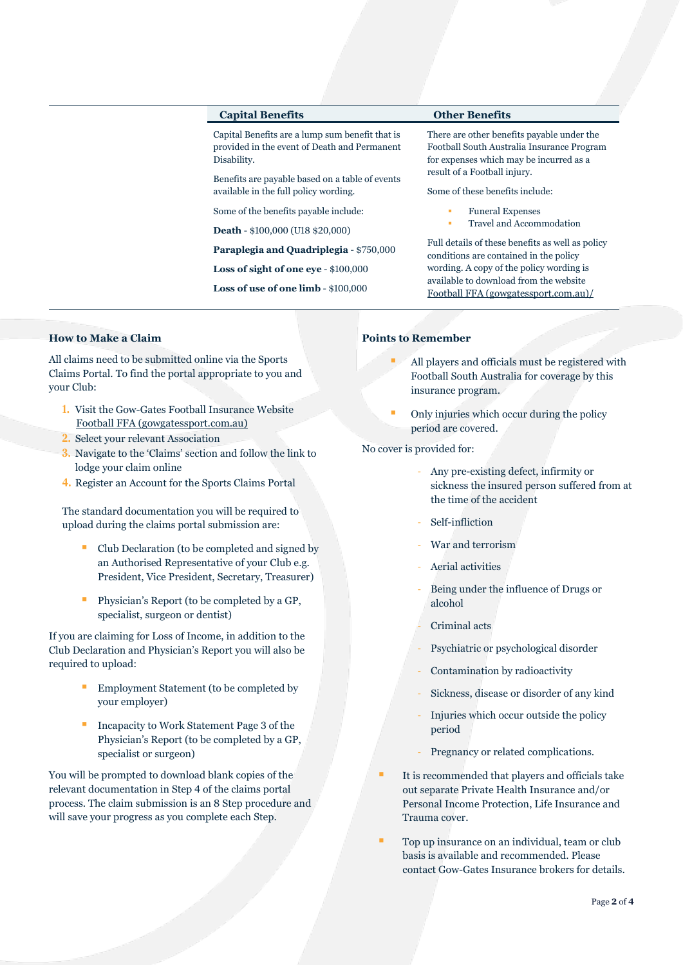### **Capital Benefits Other Benefits**

Capital Benefits are a lump sum benefit that is provided in the event of Death and Permanent Disability.

Benefits are payable based on a table of events available in the full policy wording.

Some of the benefits payable include:

**Death** - \$100,000 (U18 \$20,000)

**Paraplegia and Quadriplegia** - \$750,000

**Loss of sight of one eye** - \$100,000

**Loss of use of one limb** - \$100,000

There are other benefits payable under the Football South Australia Insurance Program for expenses which may be incurred as a result of a Football injury.

Some of these benefits include:

- **Funeral Expenses**
- Travel and Accommodation

Full details of these benefits as well as policy conditions are contained in the policy wording. A copy of the policy wording is available to download from the website [Football FFA \(gowgatessport.com.au\)/](https://football.gowgatessport.com.au/)

## **How to Make a Claim**

All claims need to be submitted online via the Sports Claims Portal. To find the portal appropriate to you and your Club:

- **1.** Visit the Gow-Gates Football Insurance Website [Football FFA \(gowgatessport.com.au\)](https://football.gowgatessport.com.au/)
- **2.** Select your relevant Association
- **3.** Navigate to the 'Claims' section and follow the link to lodge your claim online
- **4.** Register an Account for the Sports Claims Portal

The standard documentation you will be required to upload during the claims portal submission are:

- Club Declaration (to be completed and signed by an Authorised Representative of your Club e.g. President, Vice President, Secretary, Treasurer)
- Physician's Report (to be completed by a GP, specialist, surgeon or dentist)

If you are claiming for Loss of Income, in addition to the Club Declaration and Physician's Report you will also be required to upload:

- Employment Statement (to be completed by your employer)
- Incapacity to Work Statement Page 3 of the Physician's Report (to be completed by a GP, specialist or surgeon)

You will be prompted to download blank copies of the relevant documentation in Step 4 of the claims portal process. The claim submission is an 8 Step procedure and will save your progress as you complete each Step.

## **Points to Remember**

- All players and officials must be registered with Football South Australia for coverage by this insurance program.
- Only injuries which occur during the policy period are covered.

No cover is provided for:

- Any pre-existing defect, infirmity or sickness the insured person suffered from at the time of the accident
- Self-infliction
- War and terrorism
- Aerial activities
- Being under the influence of Drugs or alcohol
- Criminal acts
- Psychiatric or psychological disorder
- Contamination by radioactivity
- Sickness, disease or disorder of any kind
- Injuries which occur outside the policy period
- Pregnancy or related complications.
- It is recommended that players and officials take out separate Private Health Insurance and/or Personal Income Protection, Life Insurance and Trauma cover.
- Top up insurance on an individual, team or club basis is available and recommended. Please contact Gow-Gates Insurance brokers for details.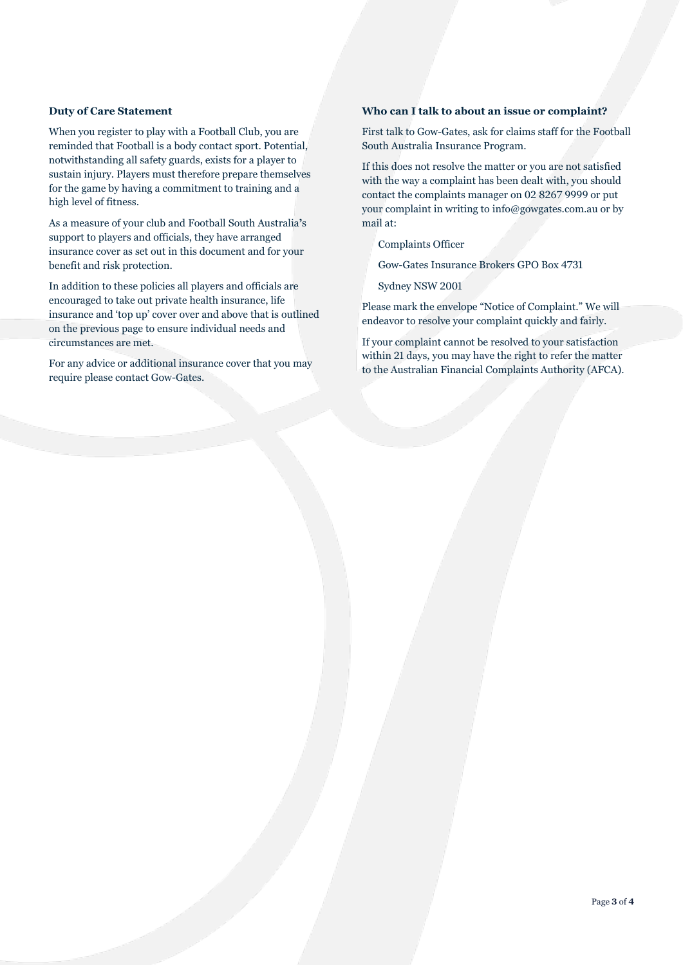## **Duty of Care Statement**

When you register to play with a Football Club, you are reminded that Football is a body contact sport. Potential, notwithstanding all safety guards, exists for a player to sustain injury. Players must therefore prepare themselves for the game by having a commitment to training and a high level of fitness.

As a measure of your club and Football South Australia**'**s support to players and officials, they have arranged insurance cover as set out in this document and for your benefit and risk protection.

In addition to these policies all players and officials are encouraged to take out private health insurance, life insurance and 'top up' cover over and above that is outlined on the previous page to ensure individual needs and circumstances are met.

For any advice or additional insurance cover that you may require please contact Gow-Gates.

## **Who can I talk to about an issue or complaint?**

First talk to Gow-Gates, ask for claims staff for the Football South Australia Insurance Program.

If this does not resolve the matter or you are not satisfied with the way a complaint has been dealt with, you should contact the complaints manager on 02 8267 9999 or put your complaint in writing to info@gowgates.com.au or by mail at:

Complaints Officer

Gow-Gates Insurance Brokers GPO Box 4731

Sydney NSW 2001

Please mark the envelope "Notice of Complaint." We will endeavor to resolve your complaint quickly and fairly.

If your complaint cannot be resolved to your satisfaction within 21 days, you may have the right to refer the matter to the Australian Financial Complaints Authority (AFCA).